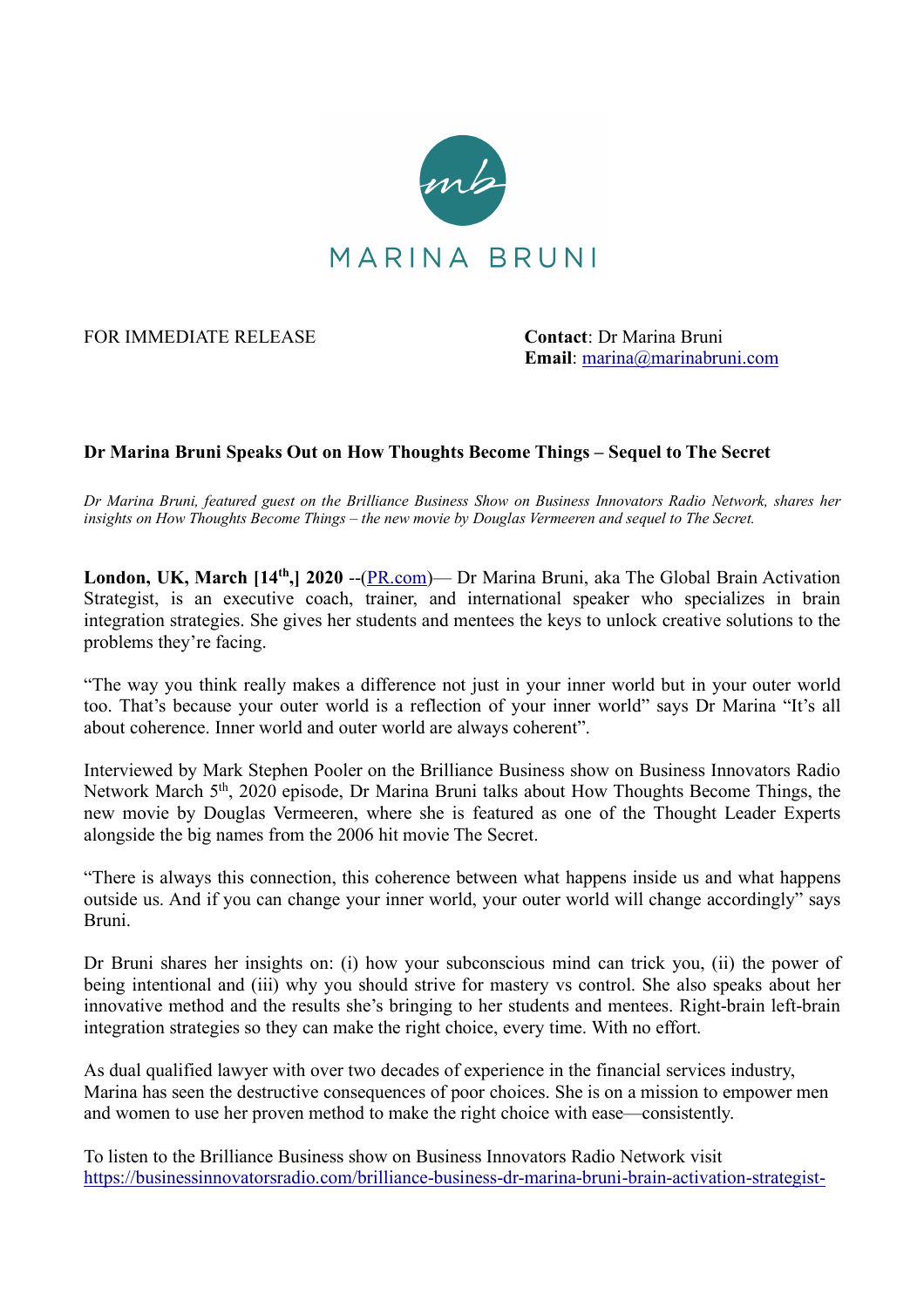

FOR IMMEDIATE RELEASE **Contact**: Dr Marina Bruni

**Email**: marina@marinabruni.com

## **Dr Marina Bruni Speaks Out on How Thoughts Become Things – Sequel to The Secret**

*Dr Marina Bruni, featured guest on the Brilliance Business Show on Business Innovators Radio Network, shares her insights on How Thoughts Become Things – the new movie by Douglas Vermeeren and sequel to The Secret.*

**London, UK, March [14th,] 2020** --(PR.com)— Dr Marina Bruni, aka The Global Brain Activation Strategist, is an executive coach, trainer, and international speaker who specializes in brain integration strategies. She gives her students and mentees the keys to unlock creative solutions to the problems they're facing.

"The way you think really makes a difference not just in your inner world but in your outer world too. That's because your outer world is a reflection of your inner world" says Dr Marina "It's all about coherence. Inner world and outer world are always coherent".

Interviewed by Mark Stephen Pooler on the Brilliance Business show on Business Innovators Radio Network March 5th, 2020 episode, Dr Marina Bruni talks about How Thoughts Become Things, the new movie by Douglas Vermeeren, where she is featured as one of the Thought Leader Experts alongside the big names from the 2006 hit movie The Secret.

"There is always this connection, this coherence between what happens inside us and what happens outside us. And if you can change your inner world, your outer world will change accordingly" says Bruni.

Dr Bruni shares her insights on: (i) how your subconscious mind can trick you, (ii) the power of being intentional and (iii) why you should strive for mastery vs control. She also speaks about her innovative method and the results she's bringing to her students and mentees. Right-brain left-brain integration strategies so they can make the right choice, every time. With no effort.

As dual qualified lawyer with over two decades of experience in the financial services industry, Marina has seen the destructive consequences of poor choices. She is on a mission to empower men and women to use her proven method to make the right choice with ease—consistently.

To listen to the Brilliance Business show on Business Innovators Radio Network visit https://businessinnovatorsradio.com/brilliance-business-dr-marina-bruni-brain-activation-strategist-